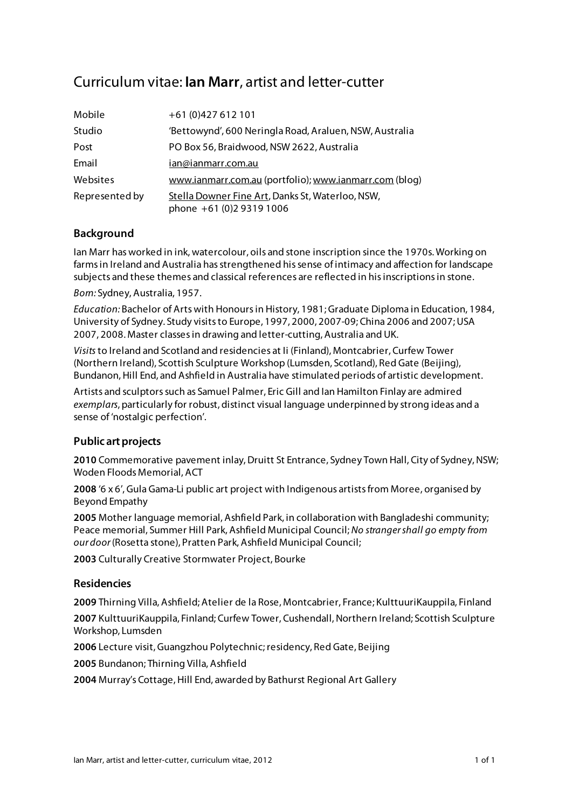# Curriculum vitae: **Ian Marr**, artist and letter-cutter

| Mobile         | +61 (0)427 612 101                                                           |
|----------------|------------------------------------------------------------------------------|
| Studio         | 'Bettowynd', 600 Neringla Road, Araluen, NSW, Australia                      |
| Post           | PO Box 56, Braidwood, NSW 2622, Australia                                    |
| Email          | ian@ianmarr.com.au                                                           |
| Websites       | www.ianmarr.com.au (portfolio); www.ianmarr.com (blog)                       |
| Represented by | Stella Downer Fine Art, Danks St, Waterloo, NSW,<br>phone +61 (0)2 9319 1006 |

## **Background**

Ian Marr has worked in ink, watercolour, oils and stone inscription since the 1970s. Working on farms in Ireland and Australia has strengthened his sense of intimacy and affection for landscape subjects and these themes and classical references are reflected in his inscriptions in stone.

*Born:* Sydney, Australia, 1957.

*Education:* Bachelor of Arts with Honours in History, 1981; Graduate Diploma in Education, 1984, University of Sydney. Study visits to Europe, 1997, 2000, 2007-09; China 2006 and 2007; USA 2007, 2008. Master classes in drawing and letter-cutting, Australia and UK.

*Visits* to Ireland and Scotland and residencies at Ii (Finland), Montcabrier, Curfew Tower (Northern Ireland), Scottish Sculpture Workshop (Lumsden, Scotland), Red Gate (Beijing), Bundanon, Hill End, and Ashfield in Australia have stimulated periods of artistic development.

Artists and sculptors such as Samuel Palmer, Eric Gill and Ian Hamilton Finlay are admired *exemplars*, particularly for robust, distinct visual language underpinned by strong ideas and a sense of 'nostalgic perfection'.

### **Public art projects**

**2010** Commemorative pavement inlay, Druitt St Entrance, Sydney Town Hall, City of Sydney, NSW; Woden Floods Memorial, ACT

**2008** '6 x 6', Gula Gama-Li public art project with Indigenous artists from Moree, organised by Beyond Empathy

**2005** Mother language memorial, Ashfield Park, in collaboration with Bangladeshi community; Peace memorial, Summer Hill Park, Ashfield Municipal Council; *No stranger shall go empty from our door* (Rosetta stone), Pratten Park, Ashfield Municipal Council;

**2003** Culturally Creative Stormwater Project, Bourke

### **Residencies**

**2009** Thirning Villa, Ashfield; Atelier de la Rose, Montcabrier, France; KulttuuriKauppila, Finland **2007** KulttuuriKauppila, Finland; Curfew Tower, Cushendall, Northern Ireland; Scottish Sculpture Workshop, Lumsden

**2006** Lecture visit, Guangzhou Polytechnic; residency, Red Gate, Beijing

**2005** Bundanon; Thirning Villa, Ashfield

**2004** Murray's Cottage, Hill End, awarded by Bathurst Regional Art Gallery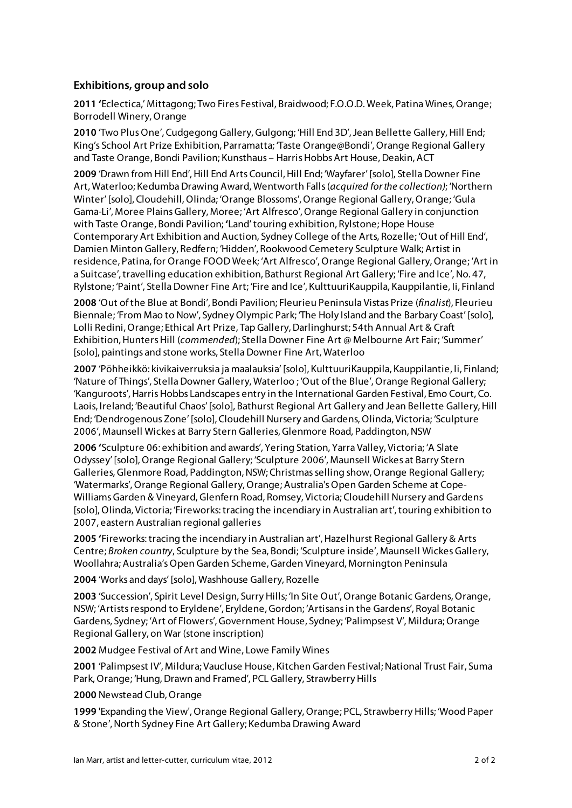## **Exhibitions, group and solo**

**2011 '**Eclectica,' Mittagong; Two Fires Festival, Braidwood; F.O.O.D. Week, Patina Wines, Orange; Borrodell Winery, Orange

**2010** 'Two Plus One', Cudgegong Gallery, Gulgong; 'Hill End 3D', Jean Bellette Gallery, Hill End; King's School Art Prize Exhibition, Parramatta; 'Taste Orange@Bondi', Orange Regional Gallery and Taste Orange, Bondi Pavilion; Kunsthaus – Harris Hobbs Art House, Deakin, ACT

**2009** 'Drawn from Hill End', Hill End Arts Council, Hill End; 'Wayfarer' [solo], Stella Downer Fine Art, Waterloo; Kedumba Drawing Award, Wentworth Falls (*acquired for the collection)*; 'Northern Winter' [solo], Cloudehill, Olinda; 'Orange Blossoms', Orange Regional Gallery, Orange; 'Gula Gama-Li', Moree Plains Gallery, Moree; 'Art Alfresco', Orange Regional Gallery in conjunction with Taste Orange, Bondi Pavilion; **'**Land' touring exhibition, Rylstone; Hope House Contemporary Art Exhibition and Auction, Sydney College of the Arts, Rozelle; 'Out of Hill End', Damien Minton Gallery, Redfern; 'Hidden', Rookwood Cemetery Sculpture Walk; Artist in residence, Patina, for Orange FOOD Week; 'Art Alfresco', Orange Regional Gallery, Orange; 'Art in a Suitcase', travelling education exhibition, Bathurst Regional Art Gallery; 'Fire and Ice', No. 47, Rylstone; 'Paint', Stella Downer Fine Art; 'Fire and Ice', KulttuuriKauppila, Kauppilantie, Ii, Finland

**2008** 'Out of the Blue at Bondi', Bondi Pavilion; Fleurieu Peninsula Vistas Prize (*finalist*), Fleurieu Biennale; 'From Mao to Now', Sydney Olympic Park; 'The Holy Island and the Barbary Coast' [solo], Lolli Redini, Orange; Ethical Art Prize, Tap Gallery, Darlinghurst; 54th Annual Art & Craft Exhibition, Hunters Hill (*commended*); Stella Downer Fine Art @ Melbourne Art Fair; 'Summer' [solo], paintings and stone works, Stella Downer Fine Art, Waterloo

**2007** 'Pöhheikkö: kivikaiverruksia ja maalauksia' [solo], KulttuuriKauppila, Kauppilantie, Ii, Finland; 'Nature of Things', Stella Downer Gallery, Waterloo ; 'Out of the Blue', Orange Regional Gallery; 'Kanguroots', Harris Hobbs Landscapes entry in the International Garden Festival, Emo Court, Co. Laois, Ireland; 'Beautiful Chaos' [solo], Bathurst Regional Art Gallery and Jean Bellette Gallery, Hill End; 'Dendrogenous Zone' [solo], Cloudehill Nursery and Gardens, Olinda, Victoria; 'Sculpture 2006', Maunsell Wickes at Barry Stern Galleries, Glenmore Road, Paddington, NSW

**2006 '**Sculpture 06: exhibition and awards', Yering Station, Yarra Valley, Victoria; 'A Slate Odyssey' [solo], Orange Regional Gallery; 'Sculpture 2006', Maunsell Wickes at Barry Stern Galleries, Glenmore Road, Paddington, NSW; Christmas selling show, Orange Regional Gallery; 'Watermarks', Orange Regional Gallery, Orange; Australia's Open Garden Scheme at Cope-Williams Garden & Vineyard, Glenfern Road, Romsey, Victoria; Cloudehill Nursery and Gardens [solo], Olinda, Victoria; 'Fireworks: tracing the incendiary in Australian art', touring exhibition to 2007, eastern Australian regional galleries

**2005 '**Fireworks: tracing the incendiary in Australian art', Hazelhurst Regional Gallery & Arts Centre; *Broken country*, Sculpture by the Sea, Bondi; 'Sculpture inside', Maunsell Wickes Gallery, Woollahra; Australia's Open Garden Scheme, Garden Vineyard, Mornington Peninsula

**2004** 'Works and days' [solo], Washhouse Gallery, Rozelle

**2003** 'Succession', Spirit Level Design, Surry Hills; 'In Site Out', Orange Botanic Gardens, Orange, NSW; 'Artists respond to Eryldene', Eryldene, Gordon; 'Artisans in the Gardens', Royal Botanic Gardens, Sydney; 'Art of Flowers', Government House, Sydney; 'Palimpsest V', Mildura; Orange Regional Gallery, on War (stone inscription)

**2002** Mudgee Festival of Art and Wine, Lowe Family Wines

**2001** 'Palimpsest IV', Mildura; Vaucluse House, Kitchen Garden Festival; National Trust Fair, Suma Park, Orange; 'Hung, Drawn and Framed', PCL Gallery, Strawberry Hills

**2000** Newstead Club, Orange

**1999** 'Expanding the View', Orange Regional Gallery, Orange; PCL, Strawberry Hills; 'Wood Paper & Stone', North Sydney Fine Art Gallery; Kedumba Drawing Award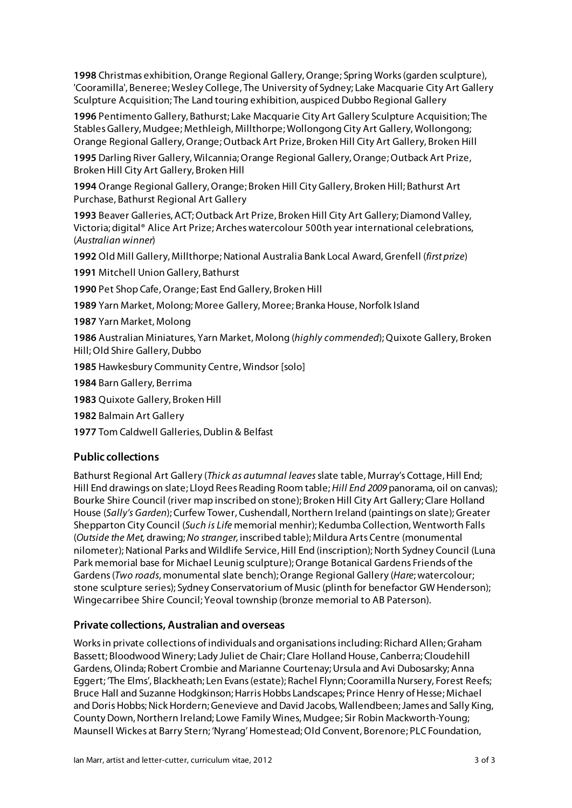**1998** Christmas exhibition, Orange Regional Gallery, Orange; Spring Works (garden sculpture), 'Cooramilla', Beneree; Wesley College, The University of Sydney; Lake Macquarie City Art Gallery Sculpture Acquisition; The Land touring exhibition, auspiced Dubbo Regional Gallery

**1996** Pentimento Gallery, Bathurst; Lake Macquarie City Art Gallery Sculpture Acquisition; The Stables Gallery, Mudgee; Methleigh, Millthorpe; Wollongong City Art Gallery, Wollongong; Orange Regional Gallery, Orange; Outback Art Prize, Broken Hill City Art Gallery, Broken Hill

**1995** Darling River Gallery, Wilcannia; Orange Regional Gallery, Orange; Outback Art Prize, Broken Hill City Art Gallery, Broken Hill

**1994** Orange Regional Gallery, Orange; Broken Hill City Gallery, Broken Hill; Bathurst Art Purchase, Bathurst Regional Art Gallery

**1993** Beaver Galleries, ACT; Outback Art Prize, Broken Hill City Art Gallery; Diamond Valley, Victoria; digital® Alice Art Prize; Arches watercolour 500th year international celebrations, (*Australian winner*)

**1992** Old Mill Gallery, Millthorpe; National Australia Bank Local Award, Grenfell (*first prize*)

**1991** Mitchell Union Gallery, Bathurst

**1990** Pet Shop Cafe, Orange; East End Gallery, Broken Hill

**1989** Yarn Market, Molong; Moree Gallery, Moree; Branka House, Norfolk Island

**1987** Yarn Market, Molong

**1986** Australian Miniatures, Yarn Market, Molong (*highly commended*); Quixote Gallery, Broken Hill; Old Shire Gallery, Dubbo

**1985** Hawkesbury Community Centre, Windsor [solo]

**1984** Barn Gallery, Berrima

**1983** Quixote Gallery, Broken Hill

**1982** Balmain Art Gallery

**1977** Tom Caldwell Galleries, Dublin & Belfast

## **Public collections**

Bathurst Regional Art Gallery (*Thick as autumnal leaves* slate table, Murray's Cottage, Hill End; Hill End drawings on slate; Lloyd Rees Reading Room table; *Hill End 2009* panorama, oil on canvas); Bourke Shire Council (river map inscribed on stone); Broken Hill City Art Gallery; Clare Holland House (*Sally's Garden*); Curfew Tower, Cushendall, Northern Ireland (paintings on slate); Greater Shepparton City Council (*Such is Life* memorial menhir); Kedumba Collection, Wentworth Falls (*Outside the Met,* drawing; *No stranger*, inscribed table); Mildura Arts Centre (monumental nilometer); National Parks and Wildlife Service, Hill End (inscription); North Sydney Council (Luna Park memorial base for Michael Leunig sculpture);Orange Botanical Gardens Friends of the Gardens (*Two roads*, monumental slate bench); Orange Regional Gallery (*Hare*; watercolour; stone sculpture series); Sydney Conservatorium of Music (plinth for benefactor GW Henderson); Wingecarribee Shire Council; Yeoval township (bronze memorial to AB Paterson).

### **Private collections, Australian and overseas**

Works in private collections of individuals and organisations including: Richard Allen; Graham Bassett; Bloodwood Winery; Lady Juliet de Chair; Clare Holland House, Canberra; Cloudehill Gardens, Olinda; Robert Crombie and Marianne Courtenay; Ursula and Avi Dubosarsky; Anna Eggert; 'The Elms', Blackheath; Len Evans (estate); Rachel Flynn; Cooramilla Nursery, Forest Reefs; Bruce Hall and Suzanne Hodgkinson; Harris Hobbs Landscapes; Prince Henry of Hesse; Michael and Doris Hobbs; Nick Hordern; Genevieve and David Jacobs, Wallendbeen; James and Sally King, County Down, Northern Ireland; Lowe Family Wines, Mudgee; Sir Robin Mackworth-Young; Maunsell Wickes at Barry Stern; 'Nyrang' Homestead; Old Convent, Borenore; PLC Foundation,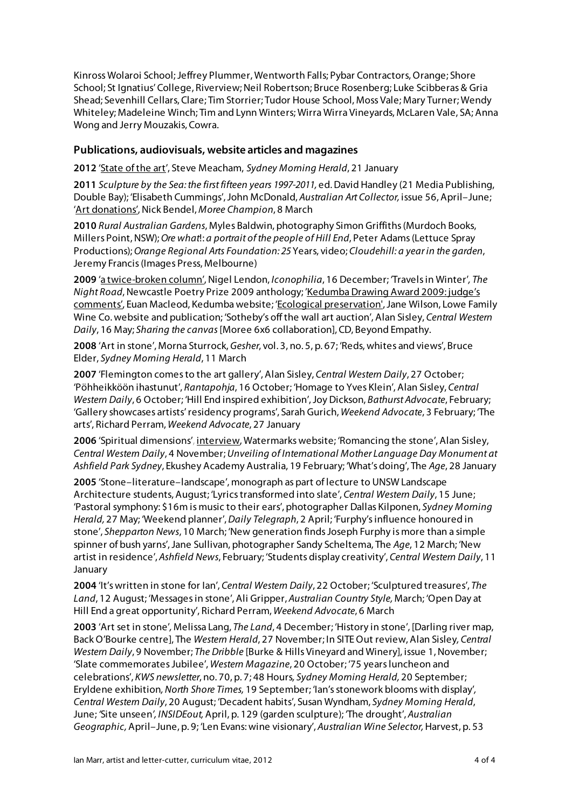Kinross Wolaroi School; Jeffrey Plummer, Wentworth Falls; Pybar Contractors, Orange; Shore School; St Ignatius' College, Riverview; Neil Robertson; Bruce Rosenberg; Luke Scibberas & Gria Shead; Sevenhill Cellars, Clare; Tim Storrier; Tudor House School, Moss Vale; Mary Turner; Wendy Whiteley; Madeleine Winch; Tim and Lynn Winters; Wirra Wirra Vineyards, McLaren Vale, SA; Anna Wong and Jerry Mouzakis, Cowra.

## **Publications, audiovisuals, website articles and magazines**

**2012** 'State of the art', Steve Meacham,*Sydney Morning Herald*, 21 January

**2011** *Sculpture by the Sea: the first fifteen years 1997-2011,* ed. David Handley (21 Media Publishing, Double Bay); 'Elisabeth Cummings', John McDonald, *Australian Art Collector,* issue 56, April–June; 'Art donations', Nick Bendel, *Moree Champion*, 8 March

**2010** *Rural Australian Gardens*, Myles Baldwin, photography Simon Griffiths (Murdoch Books, Millers Point, NSW); *Ore what*!: *a portrait of the people of Hill End*, Peter Adams (Lettuce Spray Productions); *Orange Regional Arts Foundation: 25* Years, video; *Cloudehill: a year in the garden*, Jeremy Francis (Images Press, Melbourne)

**2009** 'a twice-broken column', Nigel Lendon, *Iconophilia*, 16 December; 'Travels in Winter'*, The Night Road*, Newcastle Poetry Prize 2009 anthology; 'Kedumba Drawing Award 2009: judge's comments', Euan Macleod, Kedumba website; 'Ecological preservation', Jane Wilson, Lowe Family Wine Co. website and publication; 'Sotheby's off the wall art auction', Alan Sisley, *Central Western Daily*, 16 May; *Sharing the canvas* [Moree 6x6 collaboration], CD, Beyond Empathy.

**2008** 'Art in stone', Morna Sturrock, *Gesher*, vol. 3, no. 5, p. 67; 'Reds, whites and views', Bruce Elder, *Sydney Morning Herald*, 11 March

**2007** 'Flemington comes to the art gallery', Alan Sisley, *Central Western Daily*, 27 October; 'Pöhheikköön ihastunut', *Rantapohja*, 16 October; 'Homage to Yves Klein', Alan Sisley, *Central Western Daily*, 6 October; 'Hill End inspired exhibition', Joy Dickson, *Bathurst Advocate*, February; 'Gallery showcases artists' residency programs', Sarah Gurich, *Weekend Advocate*, 3 February; 'The arts', Richard Perram, *Weekend Advocate*, 27 January

**2006** 'Spiritual dimensions', interview, Watermarks website; 'Romancing the stone', Alan Sisley, *Central Western Daily*, 4 November; *Unveiling of International Mother Language Day Monument at Ashfield Park Sydney*, Ekushey Academy Australia, 19 February; 'What's doing', The *Age*, 28 January

**2005** 'Stone–literature–landscape', monograph as part of lecture to UNSW Landscape Architecture students, August; 'Lyrics transformed into slate', *Central Western Daily*, 15 June; 'Pastoral symphony: \$16m is music to their ears', photographer Dallas Kilponen, *Sydney Morning Herald,* 27 May; 'Weekend planner', *Daily Telegraph*, 2 April; 'Furphy's influence honoured in stone', *Shepparton News*, 10 March; 'New generation finds Joseph Furphy is more than a simple spinner of bush yarns', Jane Sullivan, photographer Sandy Scheltema, The *Age*, 12 March; 'New artist in residence', *Ashfield News*, February; 'Students display creativity', *Central Western Daily*, 11 January

**2004** 'It's written in stone for Ian', *Central Western Daily*, 22 October; 'Sculptured treasures', *The Land*, 12 August; 'Messages in stone', Ali Gripper, *Australian Country Style,* March; 'Open Day at Hill End a great opportunity', Richard Perram, *Weekend Advocate*, 6 March

**2003** 'Art set in stone'*,* Melissa Lang, *The Land*, 4 December; 'History in stone', [Darling river map, Back O'Bourke centre], The *Western Herald*, 27 November; In SITE Out review, Alan Sisley*, Central Western Daily*, 9 November; *The Dribble* [Burke & Hills Vineyard and Winery], issue 1, November; 'Slate commemorates Jubilee', *Western Magazine*, 20 October; '75 years luncheon and celebrations', *KWS newsletter*, no. 70, p. 7; 48 Hours*, Sydney Morning Herald,* 20 September; Eryldene exhibition*, North Shore Times,* 19 September; 'Ian's stonework blooms with display'*, Central Western Daily*, 20 August; 'Decadent habits', Susan Wyndham, *Sydney Morning Herald*, June; *'*Site unseen*', INSIDEout,* April, p. 129 (garden sculpture); 'The drought', *Australian Geographic,* April–June, p. 9; 'Len Evans: wine visionary', *Australian Wine Selector,* Harvest, p. 53